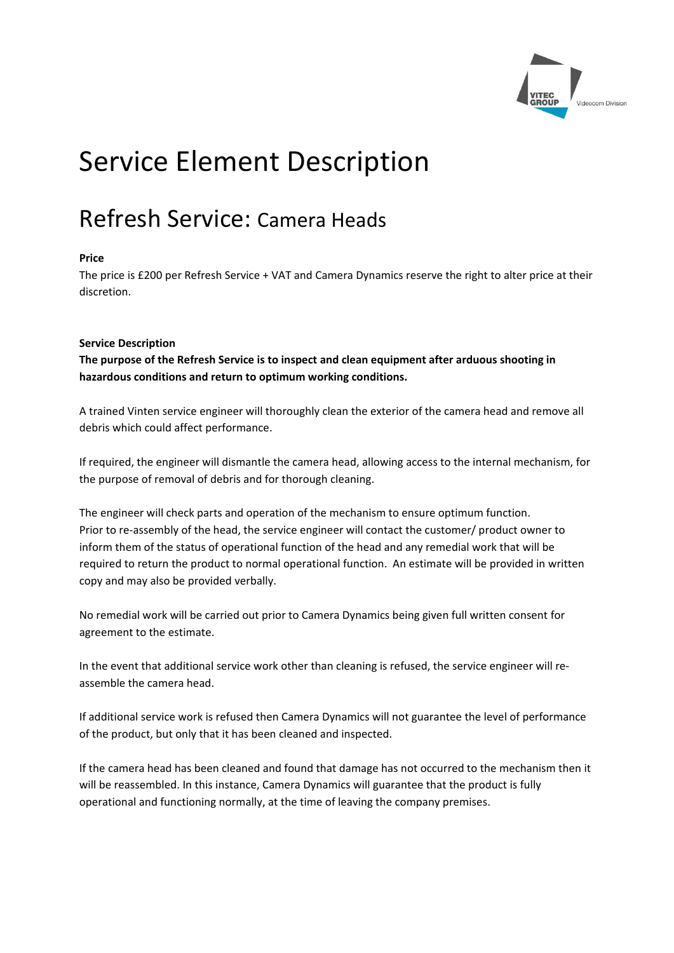

# Service Element Description

## Refresh Service: Camera Heads

### **Price**

The price is £200 per Refresh Service + VAT and Camera Dynamics reserve the right to alter price at their discretion.

#### **Service Description**

**The purpose of the Refresh Service is to inspect and clean equipment after arduous shooting in hazardous conditions and return to optimum working conditions.**

A trained Vinten service engineer will thoroughly clean the exterior of the camera head and remove all debris which could affect performance.

If required, the engineer will dismantle the camera head, allowing access to the internal mechanism, for the purpose of removal of debris and for thorough cleaning.

The engineer will check parts and operation of the mechanism to ensure optimum function. Prior to re-assembly of the head, the service engineer will contact the customer/ product owner to inform them of the status of operational function of the head and any remedial work that will be required to return the product to normal operational function. An estimate will be provided in written copy and may also be provided verbally.

No remedial work will be carried out prior to Camera Dynamics being given full written consent for agreement to the estimate.

In the event that additional service work other than cleaning is refused, the service engineer will reassemble the camera head.

If additional service work is refused then Camera Dynamics will not guarantee the level of performance of the product, but only that it has been cleaned and inspected.

If the camera head has been cleaned and found that damage has not occurred to the mechanism then it will be reassembled. In this instance, Camera Dynamics will guarantee that the product is fully operational and functioning normally, at the time of leaving the company premises.